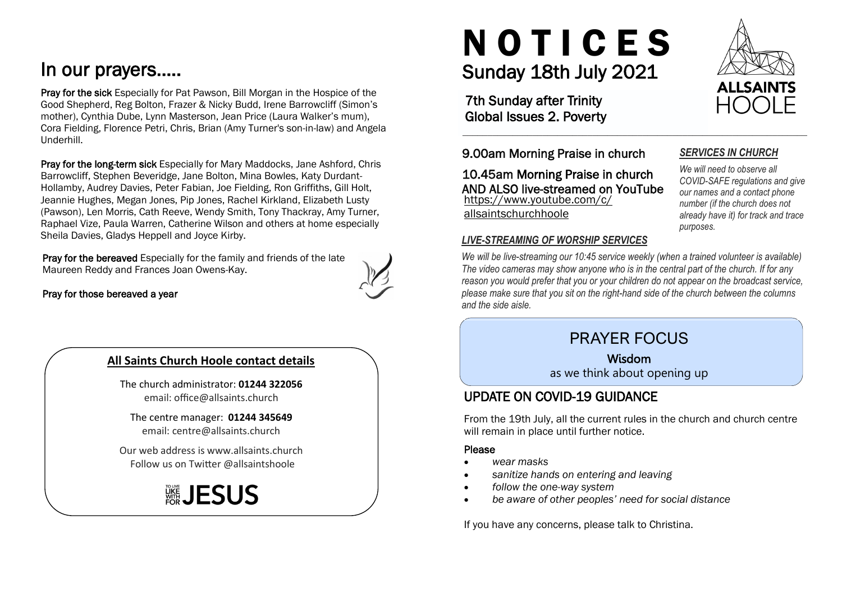# In our prayers…..

Pray for the sick Especially for Pat Pawson, Bill Morgan in the Hospice of the Good Shepherd, Reg Bolton, Frazer & Nicky Budd, Irene Barrowcliff (Simon's mother), Cynthia Dube, Lynn Masterson, Jean Price (Laura Walker's mum), Cora Fielding, Florence Petri, Chris, Brian (Amy Turner's son-in-law) and Angela Underhill.

Pray for the long-term sick Especially for Mary Maddocks, Jane Ashford, Chris Barrowcliff, Stephen Beveridge, Jane Bolton, Mina Bowles, Katy Durdant-Hollamby, Audrey Davies, Peter Fabian, Joe Fielding, Ron Griffiths, Gill Holt, Jeannie Hughes, Megan Jones, Pip Jones, Rachel Kirkland, Elizabeth Lusty (Pawson), Len Morris, Cath Reeve, Wendy Smith, Tony Thackray, Amy Turner, Raphael Vize, Paula Warren, Catherine Wilson and others at home especially Sheila Davies, Gladys Heppell and Joyce Kirby.

Pray for the bereaved Especially for the family and friends of the late Maureen Reddy and Frances Joan Owens-Kay.



#### Pray for those bereaved a year

#### **All Saints Church Hoole contact details**

The church administrator: **01244 322056** email: office@allsaints.church

The centre manager: **01244 345649** email: centre@allsaints.church

Our web address is www.allsaints.church Follow us on Twitter @allsaintshoole

# ▒JESUS

# Sunday 18th July 2021 N O T I C E S

7th Sunday after Trinity Global Issues 2. Poverty

9.00am Morning Praise in church

https://www.youtube.com/c/ allsaintschurchhoole 10.45am Morning Praise in church AND ALSO live-streamed on YouTube

#### *LIVE-STREAMING OF WORSHIP SERVICES*

*We will be live-streaming our 10:45 service weekly (when a trained volunteer is available) The video cameras may show anyone who is in the central part of the church. If for any reason you would prefer that you or your children do not appear on the broadcast service, please make sure that you sit on the right-hand side of the church between the columns and the side aisle.*

 $\_$  , and the set of the set of the set of the set of the set of the set of the set of the set of the set of the set of the set of the set of the set of the set of the set of the set of the set of the set of the set of th

# PRAYER FOCUS

Wisdom

as we think about opening up

## UPDATE ON COVID-19 GUIDANCE

From the 19th July, all the current rules in the church and church centre will remain in place until further notice.

#### Please

- *wear masks*
- *sanitize hands on entering and leaving*
- *follow the one-way system*
- *be aware of other peoples' need for social distance*

If you have any concerns, please talk to Christina.



*SERVICES IN CHURCH We will need to observe all COVID-SAFE regulations and give our names and a contact phone number (if the church does not already have it) for track and trace* 

*purposes.*